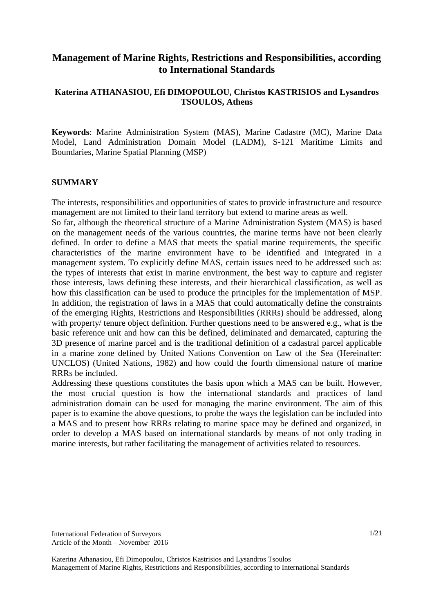# **Management of Marine Rights, Restrictions and Responsibilities, according to International Standards**

## **Katerina ATHANASIOU, Efi DIMOPOULOU, Christos KASTRISIOS and Lysandros TSOULOS, Athens**

**Keywords**: Marine Administration System (MAS), Marine Cadastre (MC), Marine Data Model, Land Administration Domain Model (LADM), S-121 Maritime Limits and Boundaries, Marine Spatial Planning (MSP)

#### **SUMMARY**

The interests, responsibilities and opportunities of states to provide infrastructure and resource management are not limited to their land territory but extend to marine areas as well.

So far, although the theoretical structure of a Marine Administration System (MAS) is based on the management needs of the various countries, the marine terms have not been clearly defined. In order to define a MAS that meets the spatial marine requirements, the specific characteristics of the marine environment have to be identified and integrated in a management system. To explicitly define MAS, certain issues need to be addressed such as: the types of interests that exist in marine environment, the best way to capture and register those interests, laws defining these interests, and their hierarchical classification, as well as how this classification can be used to produce the principles for the implementation of MSP. In addition, the registration of laws in a MAS that could automatically define the constraints of the emerging Rights, Restrictions and Responsibilities (RRRs) should be addressed, along with property/ tenure object definition. Further questions need to be answered e.g., what is the basic reference unit and how can this be defined, deliminated and demarcated, capturing the 3D presence of marine parcel and is the traditional definition of a cadastral parcel applicable in a marine zone defined by United Nations Convention on Law of the Sea (Hereinafter: UNCLOS) (United Nations, 1982) and how could the fourth dimensional nature of marine RRRs be included.

Addressing these questions constitutes the basis upon which a MAS can be built. However, the most crucial question is how the international standards and practices of land administration domain can be used for managing the marine environment. The aim of this paper is to examine the above questions, to probe the ways the legislation can be included into a MAS and to present how RRRs relating to marine space may be defined and organized, in order to develop a MAS based on international standards by means of not only trading in marine interests, but rather facilitating the management of activities related to resources.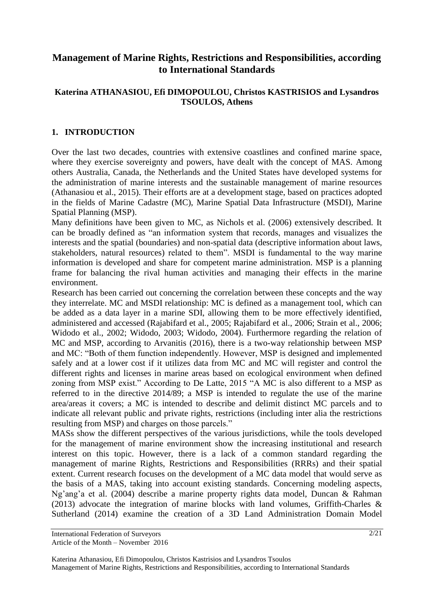# **Management of Marine Rights, Restrictions and Responsibilities, according to International Standards**

## **Katerina ATHANASIOU, Efi DIMOPOULOU, Christos KASTRISIOS and Lysandros TSOULOS, Athens**

## **1. INTRODUCTION**

Over the last two decades, countries with extensive coastlines and confined marine space, where they exercise sovereignty and powers, have dealt with the concept of MAS. Among others Australia, Canada, the Netherlands and the United States have developed systems for the administration of marine interests and the sustainable management of marine resources (Athanasiou et al., 2015). Their efforts are at a development stage, based on practices adopted in the fields of Marine Cadastre (MC), Marine Spatial Data Infrastructure (MSDI), Marine Spatial Planning (MSP).

Many definitions have been given to MC, as Nichols et al. (2006) extensively described. It can be broadly defined as "an information system that records, manages and visualizes the interests and the spatial (boundaries) and non-spatial data (descriptive information about laws, stakeholders, natural resources) related to them". MSDI is fundamental to the way marine information is developed and share for competent marine administration. MSP is a planning frame for balancing the rival human activities and managing their effects in the marine environment.

Research has been carried out concerning the correlation between these concepts and the way they interrelate. MC and MSDI relationship: MC is defined as a management tool, which can be added as a data layer in a marine SDI, allowing them to be more effectively identified, administered and accessed (Rajabifard et al., 2005; Rajabifard et al., 2006; Strain et al., 2006; Widodo et al., 2002; Widodo, 2003; Widodo, 2004). Furthermore regarding the relation of MC and MSP, according to Arvanitis (2016), there is a two-way relationship between MSP and MC: "Both of them function independently. However, MSP is designed and implemented safely and at a lower cost if it utilizes data from MC and MC will register and control the different rights and licenses in marine areas based on ecological environment when defined zoning from MSP exist." According to De Latte, 2015 "A MC is also different to a MSP as referred to in the directive 2014/89; a MSP is intended to regulate the use of the marine area/areas it covers; a MC is intended to describe and delimit distinct MC parcels and to indicate all relevant public and private rights, restrictions (including inter alia the restrictions resulting from MSP) and charges on those parcels."

MASs show the different perspectives of the various jurisdictions, while the tools developed for the management of marine environment show the increasing institutional and research interest on this topic. However, there is a lack of a common standard regarding the management of marine Rights, Restrictions and Responsibilities (RRRs) and their spatial extent. Current research focuses on the development of a MC data model that would serve as the basis of a MAS, taking into account existing standards. Concerning modeling aspects, Ng'ang'a et al. (2004) describe a marine property rights data model, Duncan & Rahman (2013) advocate the integration of marine blocks with land volumes, Griffith-Charles & Sutherland (2014) examine the creation of a 3D Land Administration Domain Model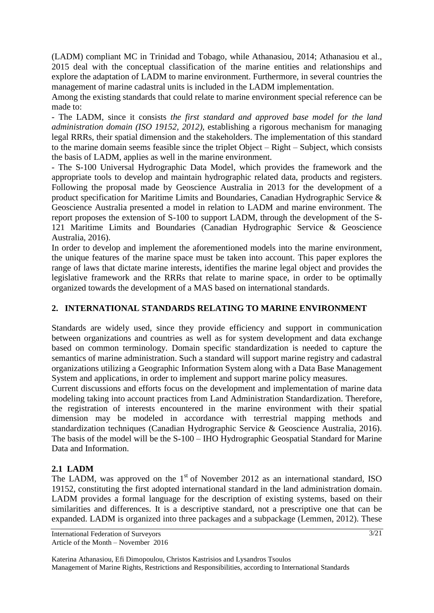(LADM) compliant MC in Trinidad and Tobago, while Athanasiou, 2014; Athanasiou et al., 2015 deal with the conceptual classification of the marine entities and relationships and explore the adaptation of LADM to marine environment. Furthermore, in several countries the management of marine cadastral units is included in the LADM implementation.

Among the existing standards that could relate to marine environment special reference can be made to:

- The LADM, since it consists *the first standard and approved base model for the land administration domain (ISO 19152, 2012)*, establishing a rigorous mechanism for managing legal RRRs, their spatial dimension and the stakeholders. The implementation of this standard to the marine domain seems feasible since the triplet Object – Right – Subject, which consists the basis of LADM, applies as well in the marine environment.

- The S-100 Universal Hydrographic Data Model, which provides the framework and the appropriate tools to develop and maintain hydrographic related data, products and registers. Following the proposal made by Geoscience Australia in 2013 for the development of a product specification for Maritime Limits and Boundaries, Canadian Hydrographic Service & Geoscience Australia presented a model in relation to LADM and marine environment. The report proposes the extension of S-100 to support LADM, through the development of the S-121 Maritime Limits and Boundaries (Canadian Hydrographic Service & Geoscience Australia, 2016).

In order to develop and implement the aforementioned models into the marine environment, the unique features of the marine space must be taken into account. This paper explores the range of laws that dictate marine interests, identifies the marine legal object and provides the legislative framework and the RRRs that relate to marine space, in order to be optimally organized towards the development of a MAS based on international standards.

# **2. INTERNATIONAL STANDARDS RELATING TO MARINE ENVIRONMENT**

Standards are widely used, since they provide efficiency and support in communication between organizations and countries as well as for system development and data exchange based on common terminology. Domain specific standardization is needed to capture the semantics of marine administration. Such a standard will support marine registry and cadastral organizations utilizing a Geographic Information System along with a Data Base Management System and applications, in order to implement and support marine policy measures.

Current discussions and efforts focus on the development and implementation of marine data modeling taking into account practices from Land Administration Standardization. Therefore, the registration of interests encountered in the marine environment with their spatial dimension may be modeled in accordance with terrestrial mapping methods and standardization techniques (Canadian Hydrographic Service & Geoscience Australia, 2016). The basis of the model will be the S-100 – IHO Hydrographic Geospatial Standard for Marine Data and Information.

# **2.1 LADM**

The LADM, was approved on the  $1<sup>st</sup>$  of November 2012 as an international standard, ISO 19152, constituting the first adopted international standard in the land administration domain. LADM provides a formal language for the description of existing systems, based on their similarities and differences. It is a descriptive standard, not a prescriptive one that can be expanded. LADM is organized into three packages and a subpackage (Lemmen, 2012). These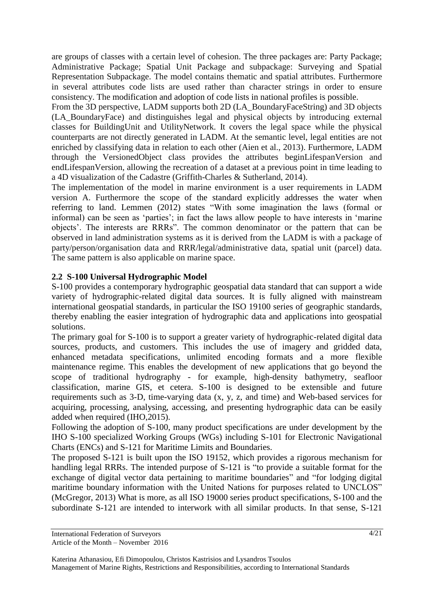are groups of classes with a certain level of cohesion. The three packages are: Party Package; Administrative Package; Spatial Unit Package and subpackage: Surveying and Spatial Representation Subpackage. The model contains thematic and spatial attributes. Furthermore in several attributes code lists are used rather than character strings in order to ensure consistency. The modification and adoption of code lists in national profiles is possible.

From the 3D perspective, LADM supports both 2D (LA\_BoundaryFaceString) and 3D objects (LA\_BoundaryFace) and distinguishes legal and physical objects by introducing external classes for BuildingUnit and UtilityNetwork. It covers the legal space while the physical counterparts are not directly generated in LADM. At the semantic level, legal entities are not enriched by classifying data in relation to each other (Aien et al., 2013). Furthermore, LADM through the VersionedObject class provides the attributes beginLifespanVersion and endLifespanVersion, allowing the recreation of a dataset at a previous point in time leading to a 4D visualization of the Cadastre (Griffith-Charles & Sutherland, 2014).

The implementation of the model in marine environment is a user requirements in LADM version A. Furthermore the scope of the standard explicitly addresses the water when referring to land. Lemmen (2012) states "With some imagination the laws (formal or informal) can be seen as 'parties'; in fact the laws allow people to have interests in 'marine objects'. The interests are RRRs". The common denominator or the pattern that can be observed in land administration systems as it is derived from the LADM is with a package of party/person/organisation data and RRR/legal/administrative data, spatial unit (parcel) data. The same pattern is also applicable on marine space.

## **2.2 S-100 Universal Hydrographic Model**

S-100 provides a contemporary hydrographic geospatial data standard that can support a wide variety of hydrographic-related digital data sources. It is fully aligned with mainstream international geospatial standards, in particular the ISO 19100 series of geographic standards, thereby enabling the easier integration of hydrographic data and applications into geospatial solutions.

The primary goal for S-100 is to support a greater variety of hydrographic-related digital data sources, products, and customers. This includes the use of imagery and gridded data, enhanced metadata specifications, unlimited encoding formats and a more flexible maintenance regime. This enables the development of new applications that go beyond the scope of traditional hydrography - for example, high-density bathymetry, seafloor classification, marine GIS, et cetera. S-100 is designed to be extensible and future requirements such as 3-D, time-varying data (x, y, z, and time) and Web-based services for acquiring, processing, analysing, accessing, and presenting hydrographic data can be easily added when required (IHO,2015).

Following the adoption of S-100, many product specifications are under development by the IHO S-100 specialized Working Groups (WGs) including S-101 for Electronic Navigational Charts (ENCs) and S-121 for Maritime Limits and Boundaries.

The proposed S-121 is built upon the ISO 19152, which provides a rigorous mechanism for handling legal RRRs. The intended purpose of S-121 is "to provide a suitable format for the exchange of digital vector data pertaining to maritime boundaries" and "for lodging digital maritime boundary information with the United Nations for purposes related to UNCLOS" (McGregor, 2013) What is more, as all ISO 19000 series product specifications, S-100 and the subordinate S-121 are intended to interwork with all similar products. In that sense, S-121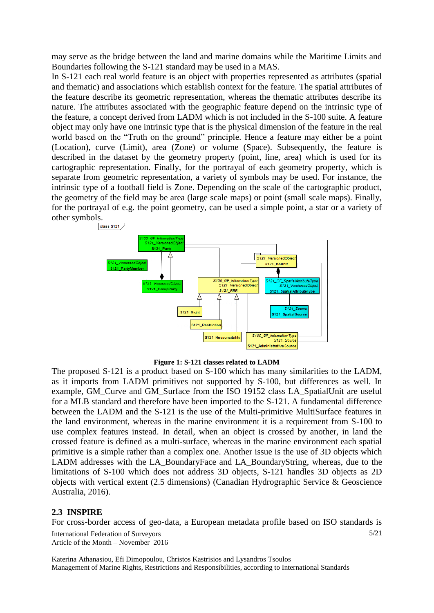may serve as the bridge between the land and marine domains while the Maritime Limits and Boundaries following the S-121 standard may be used in a MAS.

In S-121 each real world feature is an object with properties represented as attributes (spatial and thematic) and associations which establish context for the feature. The spatial attributes of the feature describe its geometric representation, whereas the thematic attributes describe its nature. The attributes associated with the geographic feature depend on the intrinsic type of the feature, a concept derived from LADM which is not included in the S-100 suite. A feature object may only have one intrinsic type that is the physical dimension of the feature in the real world based on the "Truth on the ground" principle. Hence a feature may either be a point (Location), curve (Limit), area (Zone) or volume (Space). Subsequently, the feature is described in the dataset by the geometry property (point, line, area) which is used for its cartographic representation. Finally, for the portrayal of each geometry property, which is separate from geometric representation, a variety of symbols may be used. For instance, the intrinsic type of a football field is Zone. Depending on the scale of the cartographic product, the geometry of the field may be area (large scale maps) or point (small scale maps). Finally, for the portrayal of e.g. the point geometry, can be used a simple point, a star or a variety of other symbols.



**Figure 1: S-121 classes related to LADM**

The proposed S-121 is a product based on S-100 which has many similarities to the LADM, as it imports from LADM primitives not supported by S-100, but differences as well. In example, GM\_Curve and GM\_Surface from the ISO 19152 class LA\_SpatialUnit are useful for a MLB standard and therefore have been imported to the S-121. A fundamental difference between the LADM and the S-121 is the use of the Multi-primitive MultiSurface features in the land environment, whereas in the marine environment it is a requirement from S-100 to use complex features instead. In detail, when an object is crossed by another, in land the crossed feature is defined as a multi-surface, whereas in the marine environment each spatial primitive is a simple rather than a complex one. Another issue is the use of 3D objects which LADM addresses with the LA\_BoundaryFace and LA\_BoundaryString, whereas, due to the limitations of S-100 which does not address 3D objects, S-121 handles 3D objects as 2D objects with vertical extent (2.5 dimensions) (Canadian Hydrographic Service & Geoscience Australia, 2016).

#### **2.3 INSPIRE**

For cross-border access of geo-data, a European metadata profile based on ISO standards is

5/21

International Federation of Surveyors Article of the Month – November 2016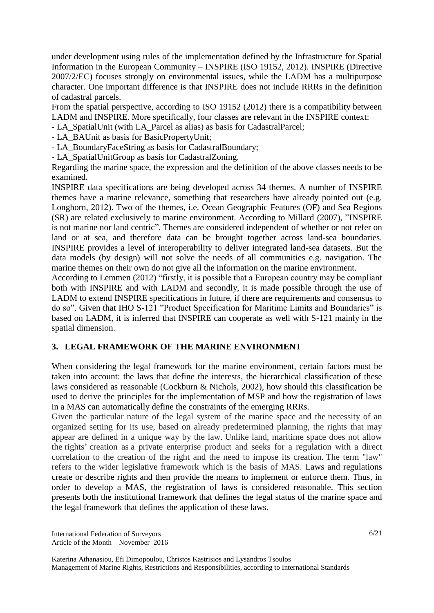under development using rules of the implementation defined by the Infrastructure for Spatial Information in the European Community – INSPIRE (ISO 19152, 2012). INSPIRE (Directive 2007/2/EC) focuses strongly on environmental issues, while the LADM has a multipurpose character. One important difference is that INSPIRE does not include RRRs in the definition of cadastral parcels.

From the spatial perspective, according to ISO 19152 (2012) there is a compatibility between LADM and INSPIRE. More specifically, four classes are relevant in the INSPIRE context:

- LA\_SpatialUnit (with LA\_Parcel as alias) as basis for CadastralParcel;
- LA\_BAUnit as basis for BasicPropertyUnit;
- LA\_BoundaryFaceString as basis for CadastralBoundary;
- LA\_SpatialUnitGroup as basis for CadastralZoning.

Regarding the marine space, the expression and the definition of the above classes needs to be examined.

INSPIRE data specifications are being developed across 34 themes. A number of INSPIRE themes have a marine relevance, something that researchers have already pointed out (e.g. Longhorn, 2012). Two of the themes, i.e. Ocean Geographic Features (OF) and Sea Regions (SR) are related exclusively to marine environment. According to Millard (2007), "INSPIRE is not marine nor land centric". Themes are considered independent of whether or not refer on land or at sea, and therefore data can be brought together across land-sea boundaries. INSPIRE provides a level of interoperability to deliver integrated land-sea datasets. But the data models (by design) will not solve the needs of all communities e.g. navigation. The marine themes on their own do not give all the information on the marine environment.

According to Lemmen (2012) "firstly, it is possible that a European country may be compliant both with INSPIRE and with LADM and secondly, it is made possible through the use of LADM to extend INSPIRE specifications in future, if there are requirements and consensus to do so". Given that IHO S-121 "Product Specification for Maritime Limits and Boundaries" is based on LADM, it is inferred that INSPIRE can cooperate as well with S-121 mainly in the spatial dimension.

# **3. LEGAL FRAMEWORK OF THE MARINE ENVIRONMENT**

When considering the legal framework for the marine environment, certain factors must be taken into account: the laws that define the interests, the hierarchical classification of these laws considered as reasonable (Cockburn & Nichols, 2002), how should this classification be used to derive the principles for the implementation of MSP and how the registration of laws in a MAS can automatically define the constraints of the emerging RRRs.

Given the particular nature of the legal system of the marine space and the necessity of an organized setting for its use, based on already predetermined planning, the rights that may appear are defined in a unique way by the law. Unlike land, maritime space does not allow the rights' creation as a private enterprise product and seeks for a regulation with a direct correlation to the creation of the right and the need to impose its creation. The term "law" refers to the wider legislative framework which is the basis of MAS. Laws and regulations create or describe rights and then provide the means to implement or enforce them. Thus, in order to develop a MAS, the registration of laws is considered reasonable. This section presents both the institutional framework that defines the legal status of the marine space and the legal framework that defines the application of these laws.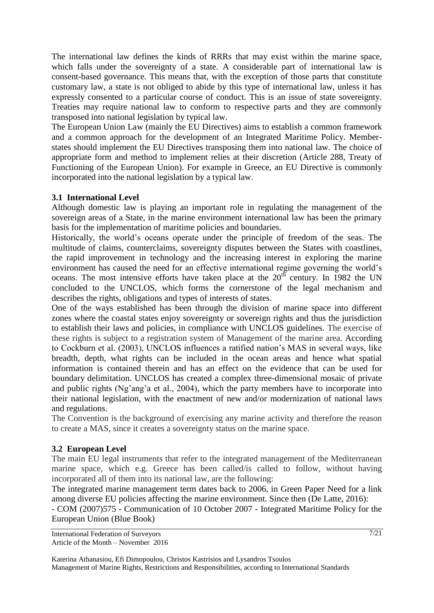The international law defines the kinds of RRRs that may exist within the marine space, which falls under the sovereignty of a state. A considerable part of international law is consent-based governance. This means that, with the exception of those parts that constitute customary law, a state is not obliged to abide by this type of international law, unless it has expressly consented to a particular course of conduct. This is an issue of state sovereignty. Treaties may require national law to conform to respective parts and they are commonly transposed into national legislation by typical law.

The European Union Law (mainly the EU Directives) aims to establish a common framework and a common approach for the development of an Integrated Maritime Policy. Memberstates should implement the EU Directives transposing them into national law. The choice of appropriate form and method to implement relies at their discretion (Article 288, Treaty of Functioning of the European Union). For example in Greece, an EU Directive is commonly incorporated into the national legislation by a typical law.

### **3.1 International Level**

Although domestic law is playing an important role in regulating the management of the sovereign areas of a State, in the marine environment international law has been the primary basis for the implementation of maritime policies and boundaries.

Historically, the world's oceans operate under the principle of freedom of the seas. The multitude of claims, counterclaims, sovereignty disputes between the States with coastlines, the rapid improvement in technology and the increasing interest in exploring the marine environment has caused the need for an effective international regime governing the world's oceans. The most intensive efforts have taken place at the  $20<sup>th</sup>$  century. In 1982 the UN concluded to the UNCLOS, which forms the cornerstone of the legal mechanism and describes the rights, obligations and types of interests of states.

One of the ways established has been through the division of marine space into different zones where the coastal states enjoy sovereignty or sovereign rights and thus the jurisdiction to establish their laws and policies, in compliance with UNCLOS guidelines. The exercise of these rights is subject to a registration system of Management of the marine area. According to Cockburn et al. (2003), UNCLOS influences a ratified nation's MAS in several ways, like breadth, depth, what rights can be included in the ocean areas and hence what spatial information is contained therein and has an effect on the evidence that can be used for boundary delimitation. UNCLOS has created a complex three-dimensional mosaic of private and public rights (Ng'ang'a et al., 2004), which the party members have to incorporate into their national legislation, with the enactment of new and/or modernization of national laws and regulations.

The Convention is the background of exercising any marine activity and therefore the reason to create a MAS, since it creates a sovereignty status on the marine space.

## **3.2 European Level**

The main EU legal instruments that refer to the integrated management of the Mediterranean marine space, which e.g. Greece has been called/is called to follow, without having incorporated all of them into its national law, are the following:

The integrated marine management term dates back to 2006, in Green Paper Need for a link among diverse EU policies affecting the marine environment. Since then (De Latte, 2016):

- COM (2007)575 - Communication of 10 October 2007 - Integrated Maritime Policy for the European Union (Blue Book)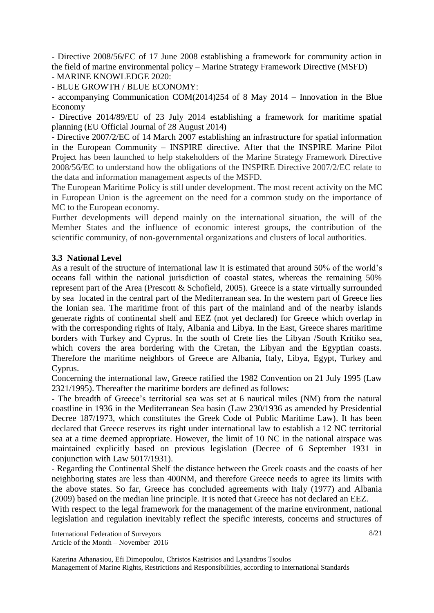- Directive 2008/56/EC of 17 June 2008 establishing a framework for community action in the field of marine environmental policy – Marine Strategy Framework Directive (MSFD)

- MARINE KNOWLEDGE 2020:

- BLUE GROWTH / BLUE ECONOMY:

- accompanying Communication COM(2014)254 of 8 May 2014 – Innovation in the Blue Economy

- Directive 2014/89/EU of 23 July 2014 establishing a framework for maritime spatial planning (EU Official Journal of 28 August 2014)

- Directive 2007/2/EC of 14 March 2007 establishing an infrastructure for spatial information in the European Community – INSPIRE directive. After that the INSPIRE Marine Pilot Project has been launched to help stakeholders of the Marine Strategy Framework Directive 2008/56/EC to understand how the obligations of the INSPIRE Directive 2007/2/EC relate to the data and information management aspects of the MSFD.

The European Maritime Policy is still under development. The most recent activity on the MC in European Union is the agreement on the need for a common study on the importance of MC to the European economy.

Further developments will depend mainly on the international situation, the will of the Member States and the influence of economic interest groups, the contribution of the scientific community, of non-governmental organizations and clusters of local authorities.

#### **3.3 National Level**

As a result of the structure of international law it is estimated that around 50% of the world's oceans fall within the national jurisdiction of coastal states, whereas the remaining 50% represent part of the Area (Prescott & Schofield, 2005). Greece is a state virtually surrounded by sea located in the central part of the Mediterranean sea. In the western part of Greece lies the Ionian sea. The maritime front of this part of the mainland and of the nearby islands generate rights of continental shelf and EEZ (not yet declared) for Greece which overlap in with the corresponding rights of Italy, Albania and Libya. In the East, Greece shares maritime borders with Turkey and Cyprus. In the south of Crete lies the Libyan /South Kritiko sea, which covers the area bordering with the Cretan, the Libyan and the Egyptian coasts. Therefore the maritime neighbors of Greece are Albania, Italy, Libya, Egypt, Turkey and Cyprus.

Concerning the international law, Greece ratified the 1982 Convention on 21 July 1995 (Law 2321/1995). Thereafter the maritime borders are defined as follows:

- The breadth of Greece's territorial sea was set at 6 nautical miles (NM) from the natural coastline in 1936 in the Mediterranean Sea basin (Law 230/1936 as amended by Presidential Decree 187/1973, which constitutes the Greek Code of Public Maritime Law). It has been declared that Greece reserves its right under international law to establish a 12 NC territorial sea at a time deemed appropriate. However, the limit of 10 NC in the national airspace was maintained explicitly based on previous legislation (Decree of 6 September 1931 in conjunction with Law 5017/1931).

- Regarding the Continental Shelf the distance between the Greek coasts and the coasts of her neighboring states are less than 400NM, and therefore Greece needs to agree its limits with the above states. So far, Greece has concluded agreements with Italy (1977) and Albania (2009) based on the median line principle. It is noted that Greece has not declared an EEZ.

With respect to the legal framework for the management of the marine environment, national legislation and regulation inevitably reflect the specific interests, concerns and structures of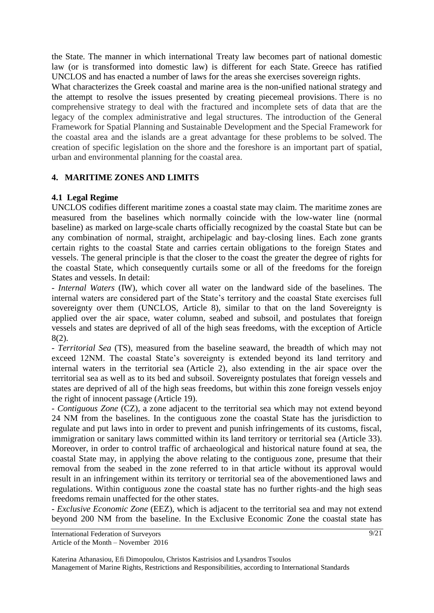the State. The manner in which international Treaty law becomes part of national domestic law (or is transformed into domestic law) is different for each State. Greece has ratified UNCLOS and has enacted a number of laws for the areas she exercises sovereign rights.

What characterizes the Greek coastal and marine area is the non-unified national strategy and the attempt to resolve the issues presented by creating piecemeal provisions. There is no comprehensive strategy to deal with the fractured and incomplete sets of data that are the legacy of the complex administrative and legal structures. The introduction of the General Framework for Spatial Planning and Sustainable Development and the Special Framework for the coastal area and the islands are a great advantage for these problems to be solved. The creation of specific legislation on the shore and the foreshore is an important part of spatial, urban and environmental planning for the coastal area.

## **4. MARITIME ZONES AND LIMITS**

## **4.1 Legal Regime**

UNCLOS codifies different maritime zones a coastal state may claim. The maritime zones are measured from the baselines which normally coincide with the low-water line (normal baseline) as marked on large-scale charts officially recognized by the coastal State but can be any combination of normal, straight, archipelagic and bay-closing lines. Each zone grants certain rights to the coastal State and carries certain obligations to the foreign States and vessels. The general principle is that the closer to the coast the greater the degree of rights for the coastal State, which consequently curtails some or all of the freedoms for the foreign States and vessels. In detail:

- *Internal Waters* (IW), which cover all water on the landward side of the baselines. The internal waters are considered part of the State's territory and the coastal State exercises full sovereignty over them (UNCLOS, Article 8), similar to that on the land Sovereignty is applied over the air space, water column, seabed and subsoil, and postulates that foreign vessels and states are deprived of all of the high seas freedoms, with the exception of Article 8(2).

*- Territorial Sea* (TS), measured from the baseline seaward, the breadth of which may not exceed 12ΝM. The coastal State's sovereignty is extended beyond its land territory and internal waters in the territorial sea (Article 2), also extending in the air space over the territorial sea as well as to its bed and subsoil. Sovereignty postulates that foreign vessels and states are deprived of all of the high seas freedoms, but within this zone foreign vessels enjoy the right of innocent passage (Article 19).

- *Contiguous Zone* (CZ), a zone adjacent to the territorial sea which may not extend beyond 24 ΝM from the baselines. In the contiguous zone the coastal State has the jurisdiction to regulate and put laws into in order to prevent and punish infringements of its customs, fiscal, immigration or sanitary laws committed within its land territory or territorial sea (Article 33). Moreover, in order to control traffic of archaeological and historical nature found at sea, the coastal State may, in applying the above relating to the contiguous zone, presume that their removal from the seabed in the zone referred to in that article without its approval would result in an infringement within its territory or territorial sea of the abovementioned laws and regulations. Within contiguous zone the coastal state has no further rights-and the high seas freedoms remain unaffected for the other states.

- *Exclusive Economic Zone* (EEZ), which is adjacent to the territorial sea and may not extend beyond 200 ΝM from the baseline. In the Exclusive Economic Zone the coastal state has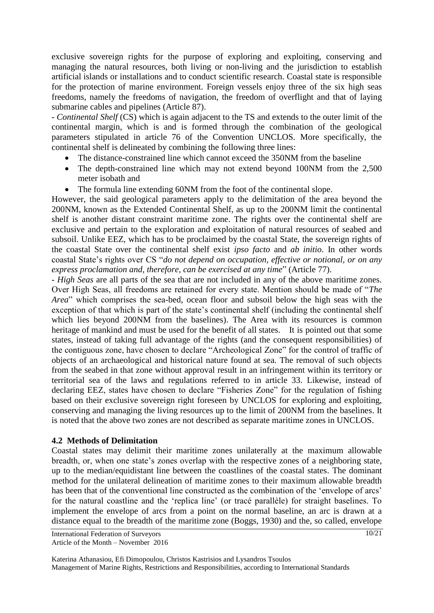exclusive sovereign rights for the purpose of exploring and exploiting, conserving and managing the natural resources, both living or non-living and the jurisdiction to establish artificial islands or installations and to conduct scientific research. Coastal state is responsible for the protection of marine environment. Foreign vessels enjoy three of the six high seas freedoms, namely the freedoms of navigation, the freedom of overflight and that of laying submarine cables and pipelines (Article 87).

- *Continental Shelf* (CS) which is again adjacent to the TS and extends to the outer limit of the continental margin, which is and is formed through the combination of the geological parameters stipulated in article 76 of the Convention UNCLOS. More specifically, the continental shelf is delineated by combining the following three lines:

- The distance-constrained line which cannot exceed the 350NM from the baseline
- The depth-constrained line which may not extend beyond 100NM from the 2,500 meter isobath and
- The formula line extending 60NM from the foot of the continental slope.

However, the said geological parameters apply to the delimitation of the area beyond the 200NM, known as the Extended Continental Shelf, as up to the 200NM limit the continental shelf is another distant constraint maritime zone. The rights over the continental shelf are exclusive and pertain to the exploration and exploitation of natural resources of seabed and subsoil. Unlike EEZ, which has to be proclaimed by the coastal State, the sovereign rights of the coastal State over the continental shelf exist *ipso facto* and *ab initio*. In other words coastal State's rights over CS "*do not depend on occupation, effective or notional, or on any express proclamation and, therefore, can be exercised at any time*" (Article 77).

- *High Seas* are all parts of the sea that are not included in any of the above maritime zones. Over High Seas, all freedoms are retained for every state. Mention should be made of "*The Area*" which comprises the sea-bed, ocean floor and subsoil below the high seas with the exception of that which is part of the state's continental shelf (including the continental shelf which lies beyond 200NM from the baselines). The Area with its resources is common heritage of mankind and must be used for the benefit of all states. It is pointed out that some states, instead of taking full advantage of the rights (and the consequent responsibilities) of the contiguous zone, have chosen to declare "Archeological Zone" for the control of traffic of objects of an archaeological and historical nature found at sea. The removal of such objects from the seabed in that zone without approval result in an infringement within its territory or territorial sea of the laws and regulations referred to in article 33. Likewise, instead of declaring EEZ, states have chosen to declare "Fisheries Zone" for the regulation of fishing based on their exclusive sovereign right foreseen by UNCLOS for exploring and exploiting, conserving and managing the living resources up to the limit of 200NM from the baselines. It is noted that the above two zones are not described as separate maritime zones in UNCLOS.

#### **4.2 Methods of Delimitation**

Coastal states may delimit their maritime zones unilaterally at the maximum allowable breadth, or, when one state's zones overlap with the respective zones of a neighboring state, up to the median/equidistant line between the coastlines of the coastal states. The dominant method for the unilateral delineation of maritime zones to their maximum allowable breadth has been that of the conventional line constructed as the combination of the 'envelope of arcs' for the natural coastline and the 'replica line' (or tracé parallèle) for straight baselines. To implement the envelope of arcs from a point on the normal baseline, an arc is drawn at a distance equal to the breadth of the maritime zone (Boggs, 1930) and the, so called, envelope

International Federation of Surveyors Article of the Month – November 2016 10/21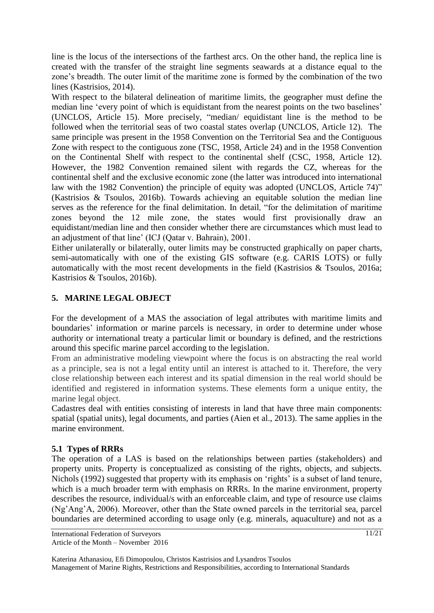line is the locus of the intersections of the farthest arcs. On the other hand, the replica line is created with the transfer of the straight line segments seawards at a distance equal to the zone's breadth. The outer limit of the maritime zone is formed by the combination of the two lines (Kastrisios, 2014).

With respect to the bilateral delineation of maritime limits, the geographer must define the median line 'every point of which is equidistant from the nearest points on the two baselines' (UNCLOS, Article 15). More precisely, "median/ equidistant line is the method to be followed when the territorial seas of two coastal states overlap (UNCLOS, Article 12). The same principle was present in the 1958 Convention on the Territorial Sea and the Contiguous Zone with respect to the contiguous zone (TSC, 1958, Article 24) and in the 1958 Convention on the Continental Shelf with respect to the continental shelf (CSC, 1958, Article 12). However, the 1982 Convention remained silent with regards the CZ, whereas for the continental shelf and the exclusive economic zone (the latter was introduced into international law with the 1982 Convention) the principle of equity was adopted (UNCLOS, Article 74)" (Kastrisios & Tsoulos, 2016b). Towards achieving an equitable solution the median line serves as the reference for the final delimitation. In detail, "for the delimitation of maritime zones beyond the 12 mile zone, the states would first provisionally draw an equidistant/median line and then consider whether there are circumstances which must lead to an adjustment of that line' (ICJ (Qatar v. Bahrain), 2001.

Either unilaterally or bilaterally, outer limits may be constructed graphically on paper charts, semi-automatically with one of the existing GIS software (e.g. CARIS LOTS) or fully automatically with the most recent developments in the field (Kastrisios & Tsoulos, 2016a; Kastrisios & Tsoulos, 2016b).

# **5. MARINE LEGAL OBJECT**

For the development of a MAS the association of legal attributes with maritime limits and boundaries' information or marine parcels is necessary, in order to determine under whose authority or international treaty a particular limit or boundary is defined, and the restrictions around this specific marine parcel according to the legislation.

From an administrative modeling viewpoint where the focus is on abstracting the real world as a principle, sea is not a legal entity until an interest is attached to it. Therefore, the very close relationship between each interest and its spatial dimension in the real world should be identified and registered in information systems. These elements form a unique entity, the marine legal object.

Cadastres deal with entities consisting of interests in land that have three main components: spatial (spatial units), legal documents, and parties (Aien et al., 2013). The same applies in the marine environment.

# **5.1 Types of RRRs**

The operation of a LAS is based on the relationships between parties (stakeholders) and property units. Property is conceptualized as consisting of the rights, objects, and subjects. Nichols (1992) suggested that property with its emphasis on 'rights' is a subset of land tenure, which is a much broader term with emphasis on RRRs. In the marine environment, property describes the resource, individual/s with an enforceable claim, and type of resource use claims (Ng'Ang'A, 2006). Moreover, other than the State owned parcels in the territorial sea, parcel boundaries are determined according to usage only (e.g. minerals, aquaculture) and not as a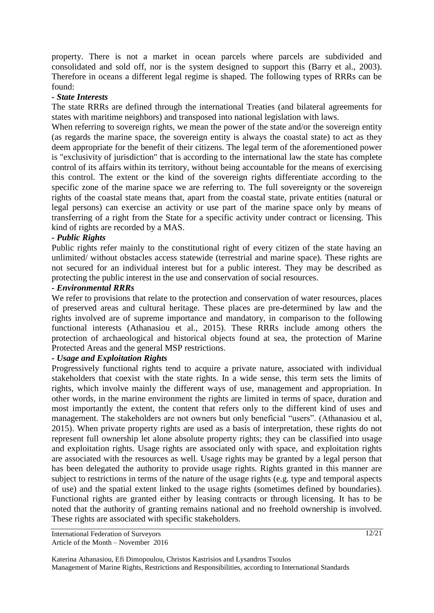property. There is not a market in ocean parcels where parcels are subdivided and consolidated and sold off, nor is the system designed to support this (Barry et al., 2003). Therefore in oceans a different legal regime is shaped. The following types of RRRs can be found:

#### *- State Interests*

The state RRRs are defined through the international Treaties (and bilateral agreements for states with maritime neighbors) and transposed into national legislation with laws.

When referring to sovereign rights, we mean the power of the state and/or the sovereign entity (as regards the marine space, the sovereign entity is always the coastal state) to act as they deem appropriate for the benefit of their citizens. The legal term of the aforementioned power is "exclusivity of jurisdiction" that is according to the international law the state has complete control of its affairs within its territory, without being accountable for the means of exercising this control. The extent or the kind of the sovereign rights differentiate according to the specific zone of the marine space we are referring to. The full sovereignty or the sovereign rights of the coastal state means that, apart from the coastal state, private entities (natural or legal persons) can exercise an activity or use part of the marine space only by means of transferring of a right from the State for a specific activity under contract or licensing. This kind of rights are recorded by a MAS.

### *- Public Rights*

Public rights refer mainly to the constitutional right of every citizen of the state having an unlimited/ without obstacles access statewide (terrestrial and marine space). These rights are not secured for an individual interest but for a public interest. They may be described as protecting the public interest in the use and conservation of social resources.

#### *- Environmental RRRs*

We refer to provisions that relate to the protection and conservation of water resources, places of preserved areas and cultural heritage. These places are pre-determined by law and the rights involved are of supreme importance and mandatory, in comparison to the following functional interests (Athanasiou et al., 2015). These RRRs include among others the protection of archaeological and historical objects found at sea, the protection of Marine Protected Areas and the general MSP restrictions.

## *- Usage and Exploitation Rights*

Progressively functional rights tend to acquire a private nature, associated with individual stakeholders that coexist with the state rights. In a wide sense, this term sets the limits of rights, which involve mainly the different ways of use, management and appropriation. In other words, in the marine environment the rights are limited in terms of space, duration and most importantly the extent, the content that refers only to the different kind of uses and management. The stakeholders are not owners but only beneficial "users". (Athanasiou et al, 2015). When private property rights are used as a basis of interpretation, these rights do not represent full ownership let alone absolute property rights; they can be classified into usage and exploitation rights. Usage rights are associated only with space, and exploitation rights are associated with the resources as well. Usage rights may be granted by a legal person that has been delegated the authority to provide usage rights. Rights granted in this manner are subject to restrictions in terms of the nature of the usage rights (e.g. type and temporal aspects of use) and the spatial extent linked to the usage rights (sometimes defined by boundaries). Functional rights are granted either by leasing contracts or through licensing. It has to be noted that the authority of granting remains national and no freehold ownership is involved. These rights are associated with specific stakeholders.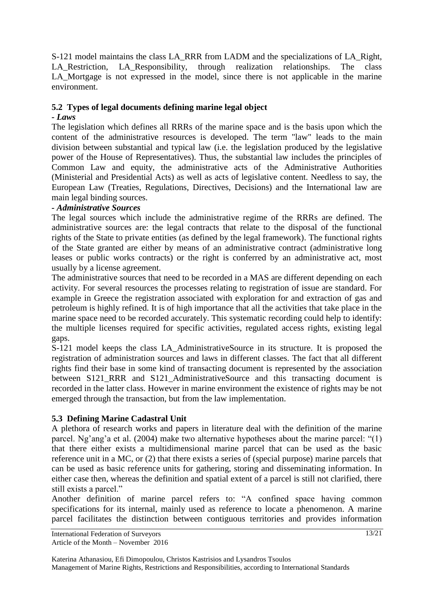S-121 model maintains the class LA\_RRR from LADM and the specializations of LA\_Right, LA Restriction, LA Responsibility, through realization relationships. The class LA Mortgage is not expressed in the model, since there is not applicable in the marine environment.

## **5.2 Types of legal documents defining marine legal object**

### *- Laws*

The legislation which defines all RRRs of the marine space and is the basis upon which the content of the administrative resources is developed. The term "law" leads to the main division between substantial and typical law (i.e. the legislation produced by the legislative power of the House of Representatives). Thus, the substantial law includes the principles of Common Law and equity, the administrative acts of the Administrative Authorities (Ministerial and Presidential Acts) as well as acts of legislative content. Needless to say, the European Law (Treaties, Regulations, Directives, Decisions) and the International law are main legal binding sources.

### *- Administrative Sources*

The legal sources which include the administrative regime of the RRRs are defined. The administrative sources are: the legal contracts that relate to the disposal of the functional rights of the State to private entities (as defined by the legal framework). The functional rights of the State granted are either by means of an administrative contract (administrative long leases or public works contracts) or the right is conferred by an administrative act, most usually by a license agreement.

The administrative sources that need to be recorded in a MAS are different depending on each activity. For several resources the processes relating to registration of issue are standard. For example in Greece the registration associated with exploration for and extraction of gas and petroleum is highly refined. It is of high importance that all the activities that take place in the marine space need to be recorded accurately. This systematic recording could help to identify: the multiple licenses required for specific activities, regulated access rights, existing legal gaps.

S-121 model keeps the class LA\_AdministrativeSource in its structure. It is proposed the registration of administration sources and laws in different classes. The fact that all different rights find their base in some kind of transacting document is represented by the association between S121\_RRR and S121\_AdministrativeSource and this transacting document is recorded in the latter class. However in marine environment the existence of rights may be not emerged through the transaction, but from the law implementation.

## **5.3 Defining Marine Cadastral Unit**

A plethora of research works and papers in literature deal with the definition of the marine parcel. Ng'ang'a et al. (2004) make two alternative hypotheses about the marine parcel: "(1) that there either exists a multidimensional marine parcel that can be used as the basic reference unit in a MC, or (2) that there exists a series of (special purpose) marine parcels that can be used as basic reference units for gathering, storing and disseminating information. In either case then, whereas the definition and spatial extent of a parcel is still not clarified, there still exists a parcel."

Another definition of marine parcel refers to: "A confined space having common specifications for its internal, mainly used as reference to locate a phenomenon. A marine parcel facilitates the distinction between contiguous territories and provides information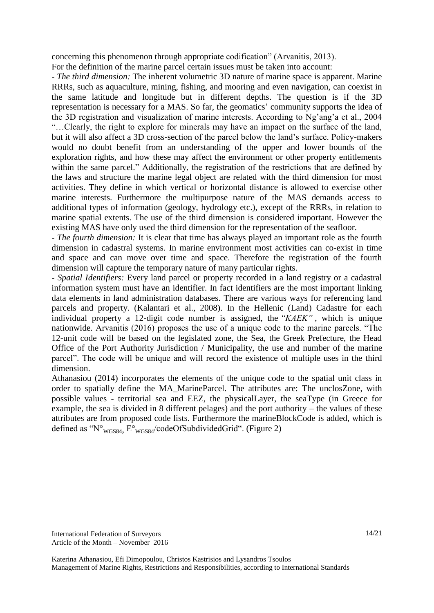concerning this phenomenon through appropriate codification" (Arvanitis, 2013).

For the definition of the marine parcel certain issues must be taken into account:

*- The third dimension:* The inherent volumetric 3D nature of marine space is apparent. Marine RRRs, such as aquaculture, mining, fishing, and mooring and even navigation, can coexist in the same latitude and longitude but in different depths. The question is if the 3D representation is necessary for a MAS. So far, the geomatics' community supports the idea of the 3D registration and visualization of marine interests. According to Ng'ang'a et al., 2004 "…Clearly, the right to explore for minerals may have an impact on the surface of the land, but it will also affect a 3D cross-section of the parcel below the land's surface. Policy-makers would no doubt benefit from an understanding of the upper and lower bounds of the exploration rights, and how these may affect the environment or other property entitlements within the same parcel." Additionally, the registration of the restrictions that are defined by the laws and structure the marine legal object are related with the third dimension for most activities. They define in which vertical or horizontal distance is allowed to exercise other marine interests. Furthermore the multipurpose nature of the MAS demands access to additional types of information (geology, hydrology etc.), except of the RRRs, in relation to marine spatial extents. The use of the third dimension is considered important. However the existing MAS have only used the third dimension for the representation of the seafloor.

*- The fourth dimension:* It is clear that time has always played an important role as the fourth dimension in cadastral systems. In marine environment most activities can co-exist in time and space and can move over time and space. Therefore the registration of the fourth dimension will capture the temporary nature of many particular rights.

*- Spatial Identifiers:* Every land parcel or property recorded in a land registry or a cadastral information system must have an identifier. In fact identifiers are the most important linking data elements in land administration databases. There are various ways for referencing land parcels and property. (Kalantari et al., 2008). In the Hellenic (Land) Cadastre for each individual property a 12-digit code number is assigned, the *"KAEK"* , which is unique nationwide. Arvanitis (2016) proposes the use of a unique code to the marine parcels. "The 12-unit code will be based on the legislated zone, the Sea, the Greek Prefecture, the Head Office of the Port Authority Jurisdiction / Municipality, the use and number of the marine parcel". The code will be unique and will record the existence of multiple uses in the third dimension.

Athanasiou (2014) incorporates the elements of the unique code to the spatial unit class in order to spatially define the MA\_MarineParcel. The attributes are: The unclosZone, with possible values - territorial sea and EEZ, the physicalLayer, the seaType (in Greece for example, the sea is divided in 8 different pelages) and the port authority – the values of these attributes are from proposed code lists. Furthermore the marineBlockCode is added, which is defined as " $N^{\circ}$ <sub>WGS84</sub>,  $E^{\circ}$ <sub>WGS84</sub>/codeOfSubdividedGrid". (Figure 2)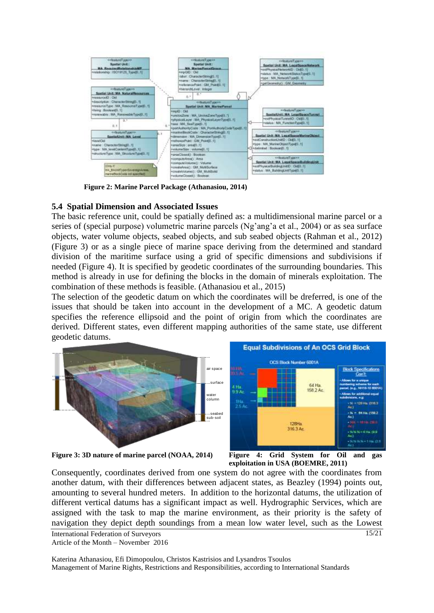

**Figure 2: Marine Parcel Package (Athanasiou, 2014)**

#### **5.4 Spatial Dimension and Associated Issues**

The basic reference unit, could be spatially defined as: a multidimensional marine parcel or a series of (special purpose) volumetric marine parcels (Ng'ang'a et al., 2004) or as sea surface objects, water volume objects, seabed objects, and sub seabed objects (Rahman et al., 2012) (Figure 3) or as a single piece of marine space deriving from the determined and standard division of the maritime surface using a grid of specific dimensions and subdivisions if needed (Figure 4). It is specified by geodetic coordinates of the surrounding boundaries. This method is already in use for defining the blocks in the domain of minerals exploitation. The combination of these methods is feasible. (Athanasiou et al., 2015)

The selection of the geodetic datum on which the coordinates will be dreferred, is one of the issues that should be taken into account in the development of a MC. A geodetic datum specifies the reference ellipsoid and the point of origin from which the coordinates are derived. Different states, even different mapping authorities of the same state, use different different geodetic datums.



**Figure 3: 3D nature of marine parcel (NOAA, 2014) Figure 4: Grid System for Oil and gas**



International Federation of Surveyors 15/21 Consequently, coordinates derived from one system do not agree with the coordinates from another datum, with their differences between adjacent states, as Beazley (1994) points out, amounting to several hundred meters. In addition to the horizontal datums, the utilization of different vertical datums has a significant impact as well. Hydrographic Services, which are assigned with the task to map the marine environment, as their priority is the safety of navigation they depict depth soundings from a mean low water level, such as the Lowest

Article of the Month – November 2016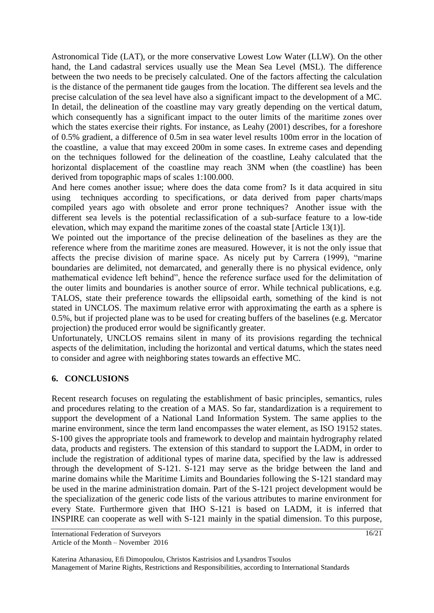Astronomical Tide (LAT), or the more conservative Lowest Low Water (LLW). On the other hand, the Land cadastral services usually use the Mean Sea Level (MSL). The difference between the two needs to be precisely calculated. One of the factors affecting the calculation is the distance of the permanent tide gauges from the location. The different sea levels and the precise calculation of the sea level have also a significant impact to the development of a MC. In detail, the delineation of the coastline may vary greatly depending on the vertical datum, which consequently has a significant impact to the outer limits of the maritime zones over which the states exercise their rights. For instance, as Leahy (2001) describes, for a foreshore of 0.5% gradient, a difference of 0.5m in sea water level results 100m error in the location of the coastline, a value that may exceed 200m in some cases. In extreme cases and depending on the techniques followed for the delineation of the coastline, Leahy calculated that the horizontal displacement of the coastline may reach 3NM when (the coastline) has been derived from topographic maps of scales 1:100.000.

And here comes another issue; where does the data come from? Is it data acquired in situ using techniques according to specifications, or data derived from paper charts/maps compiled years ago with obsolete and error prone techniques? Another issue with the different sea levels is the potential reclassification of a sub-surface feature to a low-tide elevation, which may expand the maritime zones of the coastal state [Article 13(1)].

We pointed out the importance of the precise delineation of the baselines as they are the reference where from the maritime zones are measured. However, it is not the only issue that affects the precise division of marine space. As nicely put by Carrera (1999), "marine boundaries are delimited, not demarcated, and generally there is no physical evidence, only mathematical evidence left behind", hence the reference surface used for the delimitation of the outer limits and boundaries is another source of error. While technical publications, e.g. TALOS, state their preference towards the ellipsoidal earth, something of the kind is not stated in UNCLOS. The maximum relative error with approximating the earth as a sphere is 0.5%, but if projected plane was to be used for creating buffers of the baselines (e.g. Mercator projection) the produced error would be significantly greater.

Unfortunately, UNCLOS remains silent in many of its provisions regarding the technical aspects of the delimitation, including the horizontal and vertical datums, which the states need to consider and agree with neighboring states towards an effective MC.

## **6. CONCLUSIONS**

Recent research focuses on regulating the establishment of basic principles, semantics, rules and procedures relating to the creation of a MAS. So far, standardization is a requirement to support the development of a National Land Information System. The same applies to the marine environment, since the term land encompasses the water element, as ISO 19152 states. S-100 gives the appropriate tools and framework to develop and maintain hydrography related data, products and registers. The extension of this standard to support the LADM, in order to include the registration of additional types of marine data, specified by the law is addressed through the development of S-121. S-121 may serve as the bridge between the land and marine domains while the Maritime Limits and Boundaries following the S-121 standard may be used in the marine administration domain. Part of the S-121 project development would be the specialization of the generic code lists of the various attributes to marine environment for every State. Furthermore given that IHO S-121 is based on LADM, it is inferred that INSPIRE can cooperate as well with S-121 mainly in the spatial dimension. To this purpose,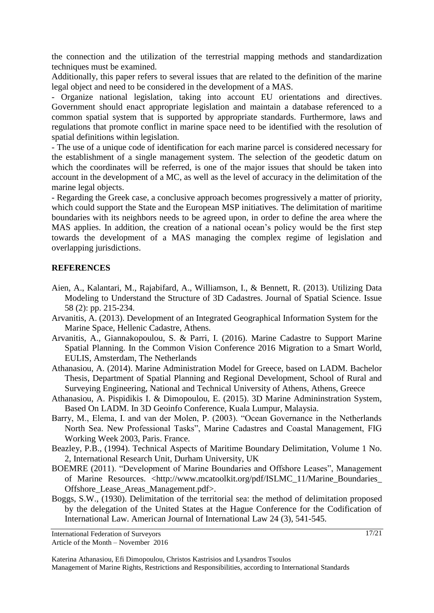the connection and the utilization of the terrestrial mapping methods and standardization techniques must be examined.

Additionally, this paper refers to several issues that are related to the definition of the marine legal object and need to be considered in the development of a MAS.

- Organize national legislation, taking into account EU orientations and directives. Government should enact appropriate legislation and maintain a database referenced to a common spatial system that is supported by appropriate standards. Furthermore, laws and regulations that promote conflict in marine space need to be identified with the resolution of spatial definitions within legislation.

- The use of a unique code of identification for each marine parcel is considered necessary for the establishment of a single management system. The selection of the geodetic datum on which the coordinates will be referred, is one of the major issues that should be taken into account in the development of a MC, as well as the level of accuracy in the delimitation of the marine legal objects.

- Regarding the Greek case, a conclusive approach becomes progressively a matter of priority, which could support the State and the European MSP initiatives. The delimitation of maritime boundaries with its neighbors needs to be agreed upon, in order to define the area where the MAS applies. In addition, the creation of a national ocean's policy would be the first step towards the development of a MAS managing the complex regime of legislation and overlapping jurisdictions.

#### **REFERENCES**

- Aien, A., Kalantari, M., Rajabifard, A., Williamson, I., & Bennett, R. (2013). Utilizing Data Modeling to Understand the Structure of 3D Cadastres. Journal of Spatial Science. Issue 58 (2): pp. 215-234.
- Arvanitis, A. (2013). Development of an Integrated Geographical Information System for the Marine Space, Hellenic Cadastre, Athens.
- Arvanitis, A., Giannakopoulou, S. & Parri, I. (2016). Marine Cadastre to Support Marine Spatial Planning. In the Common Vision Conference 2016 Migration to a Smart World, EULIS, Amsterdam, The Netherlands
- Athanasiou, A. (2014). Marine Administration Model for Greece, based on LADM. Bachelor Thesis, Department of Spatial Planning and Regional Development, School of Rural and Surveying Engineering, National and Technical University of Athens, Athens, Greece
- Athanasiou, A. Pispidikis I. & Dimopoulou, E. (2015). 3D Marine Admininstration System, Based On LADM. In 3D Geoinfo Conference, Kuala Lumpur, Malaysia.
- Barry, M., Elema, I. and van der Molen, P. (2003). "Ocean Governance in the Netherlands North Sea. New Professional Tasks", Marine Cadastres and Coastal Management, FIG Working Week 2003, Paris. France.
- Beazley, P.B., (1994). Technical Aspects of Maritime Boundary Delimitation, Volume 1 No. 2, International Research Unit, Durham University, UK
- BOEMRE (2011). "Development of Marine Boundaries and Offshore Leases", Management of Marine Resources. <http://www.mcatoolkit.org/pdf/ISLMC\_11/Marine\_Boundaries\_ Offshore\_Lease\_Areas\_Management.pdf>.
- Boggs, S.W., (1930). Delimitation of the territorial sea: the method of delimitation proposed by the delegation of the United States at the Hague Conference for the Codification of International Law. American Journal of International Law 24 (3), 541-545.

International Federation of Surveyors Article of the Month – November 2016

Katerina Athanasiou, Efi Dimopoulou, Christos Kastrisios and Lysandros Tsoulos Management of Marine Rights, Restrictions and Responsibilities, according to International Standards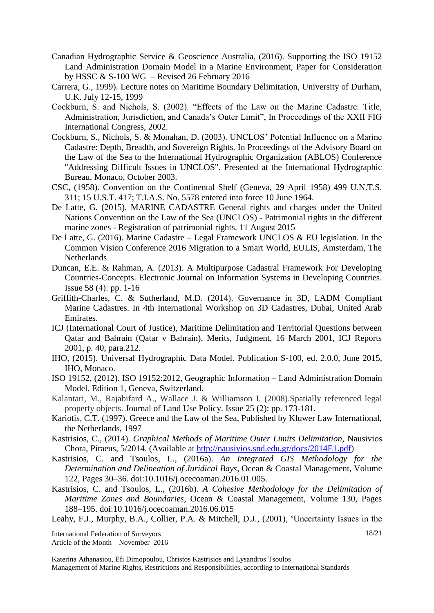- Canadian Hydrographic Service & Geoscience Australia, (2016). Supporting the ISO 19152 Land Administration Domain Model in a Marine Environment, Paper for Consideration by HSSC & S-100 WG – Revised 26 February 2016
- Carrera, G., 1999). Lecture notes on Maritime Boundary Delimitation, University of Durham, U.K. July 12-15, 1999
- Cockburn, S. and Nichols, S. (2002). "Effects of the Law on the Marine Cadastre: Title, Administration, Jurisdiction, and Canada's Outer Limit", In Proceedings of the XXII FIG International Congress, 2002.
- Cockburn, S., Nichols, S. & Monahan, D. (2003). UNCLOS' Potential Influence on a Marine Cadastre: Depth, Breadth, and Sovereign Rights. In Proceedings of the Advisory Board on the Law of the Sea to the International Hydrographic Organization (ABLOS) Conference "Addressing Difficult Issues in UNCLOS". Presented at the International Hydrographic Bureau, Monaco, October 2003.
- CSC, (1958). Convention on the Continental Shelf (Geneva, 29 April 1958) 499 U.N.T.S. 311; 15 U.S.T. 417; T.I.A.S. No. 5578 entered into force 10 June 1964.
- De Latte, G. (2015). MARINE CADASTRE General rights and charges under the United Nations Convention on the Law of the Sea (UNCLOS) - Patrimonial rights in the different marine zones - Registration of patrimonial rights. 11 August 2015
- De Latte, G. (2016). Marine Cadastre Legal Framework UNCLOS & EU legislation. In the Common Vision Conference 2016 Migration to a Smart World, EULIS, Amsterdam, The **Netherlands**
- Duncan, E.E. & Rahman, A. (2013). A Multipurpose Cadastral Framework For Developing Countries-Concepts. Electronic Journal on Information Systems in Developing Countries. Issue 58 (4): pp. 1-16
- Griffith-Charles, C. & Sutherland, M.D. (2014). Governance in 3D, LADM Compliant Marine Cadastres. In 4th International Workshop on 3D Cadastres, Dubai, United Arab Emirates.
- ICJ (International Court of Justice), Maritime Delimitation and Territorial Questions between Qatar and Bahrain (Qatar v Bahrain), Merits, Judgment, 16 March 2001, ICJ Reports 2001, p. 40, para.212.
- IHO, (2015). Universal Hydrographic Data Model. Publication S-100, ed. 2.0.0, June 2015, IHO, Monaco.
- ISO 19152, (2012). ISO 19152:2012, Geographic Information Land Administration Domain Model. Edition 1, Geneva, Switzerland.
- Kalantari, M., Rajabifard A., Wallace J. & Williamson I. (2008).Spatially referenced legal property objects. Journal of Land Use Policy. Issue 25 (2): pp. 173-181.
- Kariotis, C.T. (1997). Greece and the Law of the Sea, Published by Kluwer Law International, the Netherlands, 1997
- Kastrisios, C., (2014). *Graphical Methods of Maritime Outer Limits Delimitation*, Nausivios Chora, Piraeus, 5/2014. (Available at [http://nausivios.snd.edu.gr/docs/2014E1.pdf\)](http://nausivios.snd.edu.gr/docs/2014E1.pdf)
- Kastrisios, C. and Tsoulos, L., (2016a). *An Integrated GIS Methodology for the Determination and Delineation of Juridical Bays*, Ocean & Coastal Management, Volume 122, Pages 30–36. doi:10.1016/j.ocecoaman.2016.01.005.
- Kastrisios, C. and Tsoulos, L., (2016b). *A Cohesive Methodology for the Delimitation of Maritime Zones and Boundaries*, Ocean & Coastal Management, Volume 130, Pages 188–195. doi:10.1016/j.ocecoaman.2016.06.015

Leahy, F.J., Murphy, B.A., Collier, P.A. & Mitchell, D.J., (2001), 'Uncertainty Issues in the

Article of the Month – November 2016

International Federation of Surveyors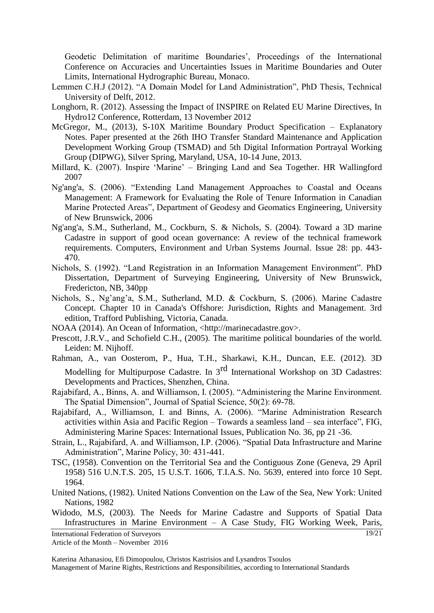Geodetic Delimitation of maritime Boundaries', Proceedings of the International Conference on Accuracies and Uncertainties Issues in Maritime Boundaries and Outer Limits, International Hydrographic Bureau, Monaco.

- Lemmen C.H.J (2012). "A Domain Model for Land Administration", PhD Thesis, Technical University of Delft, 2012.
- Longhorn, R. (2012). Assessing the Impact of INSPIRE on Related EU Marine Directives, In Hydro12 Conference, Rotterdam, 13 November 2012
- McGregor, M., (2013), S-10X Maritime Boundary Product Specification Explanatory Notes. Paper presented at the 26th IHO Transfer Standard Maintenance and Application Development Working Group (TSMAD) and 5th Digital Information Portrayal Working Group (DIPWG), Silver Spring, Maryland, USA, 10-14 June, 2013.
- Millard, K. (2007). Inspire 'Marine' Bringing Land and Sea Together. HR Wallingford 2007
- Ng'ang'a, S. (2006). "Extending Land Management Approaches to Coastal and Oceans Management: A Framework for Evaluating the Role of Tenure Information in Canadian Marine Protected Areas", Department of Geodesy and Geomatics Engineering, University of New Brunswick, 2006
- Ng'ang'a, S.M., Sutherland, M., Cockburn, S. & Nichols, S. (2004). Toward a 3D marine Cadastre in support of good ocean governance: A review of the technical framework requirements. Computers, Environment and Urban Systems Journal. Issue 28: pp. 443- 470.
- Nichols, S. (1992). "Land Registration in an Information Management Environment". PhD Dissertation, Department of Surveying Engineering, University of New Brunswick, Fredericton, NB, 340pp
- Nichols, S., Ng'ang'a, S.M., Sutherland, M.D. & Cockburn, S. (2006). Marine Cadastre Concept. Chapter 10 in Canada's Offshore: Jurisdiction, Rights and Management. 3rd edition, Trafford Publishing, Victoria, Canada.
- NOAA (2014). An Ocean of Information, <http://marinecadastre.gov>.
- Prescott, J.R.V., and Schofield C.H., (2005). The maritime political boundaries of the world. Leiden: M. Nijhoff.
- Rahman, A., van Oosterom, P., Hua, T.H., Sharkawi, K.H., Duncan, E.E. (2012). 3D Modelling for Multipurpose Cadastre. In  $3<sup>rd</sup>$  International Workshop on 3D Cadastres: Developments and Practices, Shenzhen, China.
- Rajabifard, A., Binns, A. and Williamson, I. (2005). "Administering the Marine Environment. The Spatial Dimension", Journal of Spatial Science, 50(2): 69-78.
- Rajabifard, A., Williamson, I. and Binns, A. (2006). "Marine Administration Research activities within Asia and Pacific Region – Towards a seamless land – sea interface", FIG, Administering Marine Spaces: International Issues, Publication No. 36, pp 21 -36.
- Strain, L., Rajabifard, A. and Williamson, I.P. (2006). "Spatial Data Infrastructure and Marine Administration", Marine Policy, 30: 431-441.
- TSC, (1958). Convention on the Territorial Sea and the Contiguous Zone (Geneva, 29 April 1958) 516 U.N.T.S. 205, 15 U.S.T. 1606, T.I.A.S. No. 5639, entered into force 10 Sept. 1964.
- United Nations, (1982). United Nations Convention on the Law of the Sea, New York: United Nations, 1982
- Widodo, M.S, (2003). The Needs for Marine Cadastre and Supports of Spatial Data Infrastructures in Marine Environment – A Case Study, FIG Working Week, Paris,

International Federation of Surveyors

Katerina Athanasiou, Efi Dimopoulou, Christos Kastrisios and Lysandros Tsoulos Management of Marine Rights, Restrictions and Responsibilities, according to International Standards 19/21

Article of the Month – November 2016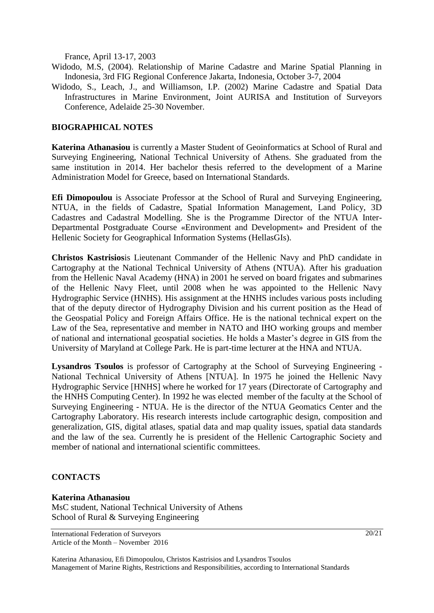France, April 13-17, 2003

Widodo, M.S, (2004). Relationship of Marine Cadastre and Marine Spatial Planning in Indonesia, 3rd FIG Regional Conference Jakarta, Indonesia, October 3-7, 2004

Widodo, S., Leach, J., and Williamson, I.P. (2002) Marine Cadastre and Spatial Data Infrastructures in Marine Environment, Joint AURISA and Institution of Surveyors Conference, Adelaide 25-30 November.

## **BIOGRAPHICAL NOTES**

**Katerina Athanasiou** is currently a Master Student of Geoinformatics at School of Rural and Surveying Engineering, National Technical University of Athens. She graduated from the same institution in 2014. Her bachelor thesis referred to the development of a Marine Administration Model for Greece, based on International Standards.

**Efi Dimopoulou** is Associate Professor at the School of Rural and Surveying Engineering, NTUA, in the fields of Cadastre, Spatial Information Management, Land Policy, 3D Cadastres and Cadastral Modelling. She is the Programme Director of the NTUA Inter-Departmental Postgraduate Course «Environment and Development» and President of the Hellenic Society for Geographical Information Systems (HellasGIs).

**Christos Kastrisios**is Lieutenant Commander of the Hellenic Navy and PhD candidate in Cartography at the National Technical University of Athens (NTUA). After his graduation from the Hellenic Naval Academy (HNA) in 2001 he served on board frigates and submarines of the Hellenic Navy Fleet, until 2008 when he was appointed to the Hellenic Navy Hydrographic Service (HNHS). His assignment at the HNHS includes various posts including that of the deputy director of Hydrography Division and his current position as the Head of the Geospatial Policy and Foreign Affairs Office. He is the national technical expert on the Law of the Sea, representative and member in NATO and IHO working groups and member of national and international geospatial societies. He holds a Master's degree in GIS from the University of Maryland at College Park. He is part-time lecturer at the HNA and NTUA.

**Lysandros Tsoulos** is professor of Cartography at the School of Surveying Engineering - National Technical University of Athens [NTUA]. In 1975 he joined the Hellenic Navy Hydrographic Service [HNHS] where he worked for 17 years (Directorate of Cartography and the HNHS Computing Center). In 1992 he was elected member of the faculty at the School of Surveying Engineering - NTUA. He is the director of the NTUA Geomatics Center and the Cartography Laboratory. His research interests include cartographic design, composition and generalization, GIS, digital atlases, spatial data and map quality issues, spatial data standards and the law of the sea. Currently he is president of the Hellenic Cartographic Society and member of national and international scientific committees.

## **CONTACTS**

#### **Katerina Athanasiou**

MsC student, National Technical University of Athens School of Rural & Surveying Engineering

20/21

International Federation of Surveyors Article of the Month – November 2016